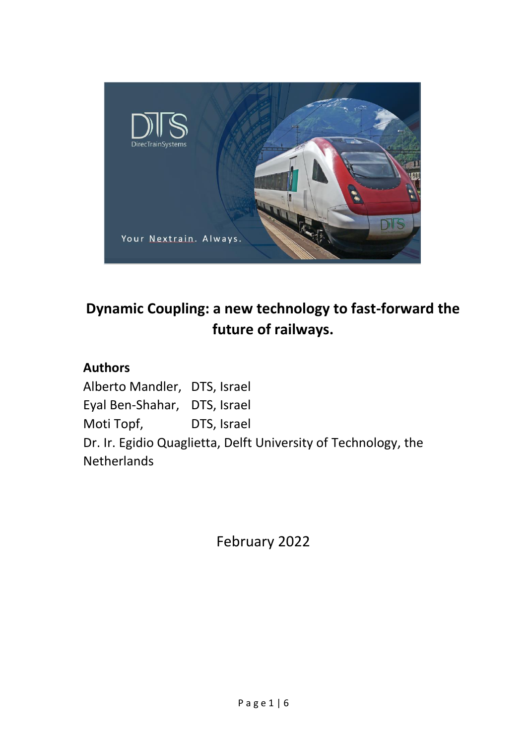

# **Dynamic Coupling: a new technology to fast-forward the future of railways.**

## **Authors**

Alberto Mandler, DTS, Israel Eyal Ben-Shahar, DTS, Israel Moti Topf, DTS, Israel Dr. Ir. Egidio Quaglietta, Delft University of Technology, the Netherlands

February 2022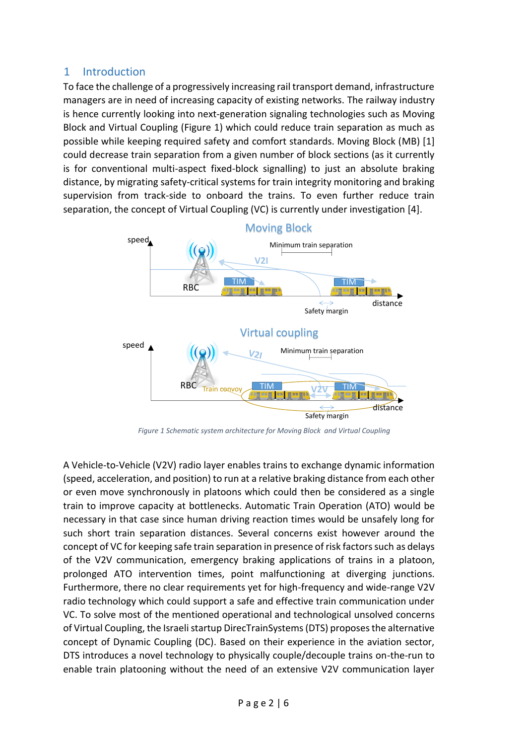### 1 Introduction

To face the challenge of a progressively increasing rail transport demand, infrastructure managers are in need of increasing capacity of existing networks. The railway industry is hence currently looking into next-generation signaling technologies such as Moving Block and Virtual Coupling [\(Figure 1\)](#page-1-0) which could reduce train separation as much as possible while keeping required safety and comfort standards. Moving Block (MB) [\[1\]](#page-5-0) could decrease train separation from a given number of block sections (as it currently is for conventional multi-aspect fixed-block signalling) to just an absolute braking distance, by migrating safety-critical systems for train integrity monitoring and braking supervision from track-side to onboard the trains. To even further reduce train separation, the concept of Virtual Coupling (VC) is currently under investigation [\[4\].](#page-5-1)



<span id="page-1-0"></span>*Figure 1 Schematic system architecture for Moving Block and Virtual Coupling* 

A Vehicle-to-Vehicle (V2V) radio layer enables trains to exchange dynamic information (speed, acceleration, and position) to run at a relative braking distance from each other or even move synchronously in platoons which could then be considered as a single train to improve capacity at bottlenecks. Automatic Train Operation (ATO) would be necessary in that case since human driving reaction times would be unsafely long for such short train separation distances. Several concerns exist however around the concept of VC for keeping safe train separation in presence of risk factors such as delays of the V2V communication, emergency braking applications of trains in a platoon, prolonged ATO intervention times, point malfunctioning at diverging junctions. Furthermore, there no clear requirements yet for high-frequency and wide-range V2V radio technology which could support a safe and effective train communication under VC. To solve most of the mentioned operational and technological unsolved concerns of Virtual Coupling, the Israeli startup DirecTrainSystems (DTS) proposes the alternative concept of Dynamic Coupling (DC). Based on their experience in the aviation sector, DTS introduces a novel technology to physically couple/decouple trains on-the-run to enable train platooning without the need of an extensive V2V communication layer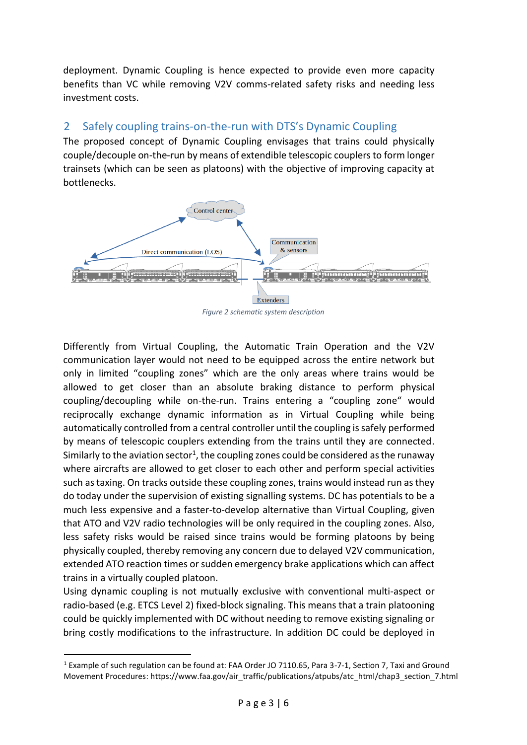deployment. Dynamic Coupling is hence expected to provide even more capacity benefits than VC while removing V2V comms-related safety risks and needing less investment costs.

## 2 Safely coupling trains-on-the-run with DTS's Dynamic Coupling

The proposed concept of Dynamic Coupling envisages that trains could physically couple/decouple on-the-run by means of extendible telescopic couplers to form longer trainsets (which can be seen as platoons) with the objective of improving capacity at bottlenecks.



*Figure 2 schematic system description*

Differently from Virtual Coupling, the Automatic Train Operation and the V2V communication layer would not need to be equipped across the entire network but only in limited "coupling zones" which are the only areas where trains would be allowed to get closer than an absolute braking distance to perform physical coupling/decoupling while on-the-run. Trains entering a "coupling zone" would reciprocally exchange dynamic information as in Virtual Coupling while being automatically controlled from a central controller until the coupling is safely performed by means of telescopic couplers extending from the trains until they are connected. Similarly to the aviation sector $^1$ , the coupling zones could be considered as the runaway where aircrafts are allowed to get closer to each other and perform special activities such as taxing. On tracks outside these coupling zones, trains would instead run as they do today under the supervision of existing signalling systems. DC has potentials to be a much less expensive and a faster-to-develop alternative than Virtual Coupling, given that ATO and V2V radio technologies will be only required in the coupling zones. Also, less safety risks would be raised since trains would be forming platoons by being physically coupled, thereby removing any concern due to delayed V2V communication, extended ATO reaction times or sudden emergency brake applications which can affect trains in a virtually coupled platoon.

Using dynamic coupling is not mutually exclusive with conventional multi-aspect or radio-based (e.g. ETCS Level 2) fixed-block signaling. This means that a train platooning could be quickly implemented with DC without needing to remove existing signaling or bring costly modifications to the infrastructure. In addition DC could be deployed in

<sup>1</sup> Example of such regulation can be found at: FAA Order JO 7110.65, Para 3-7-1, Section 7, Taxi and Ground Movement Procedures: https://www.faa.gov/air\_traffic/publications/atpubs/atc\_html/chap3\_section\_7.html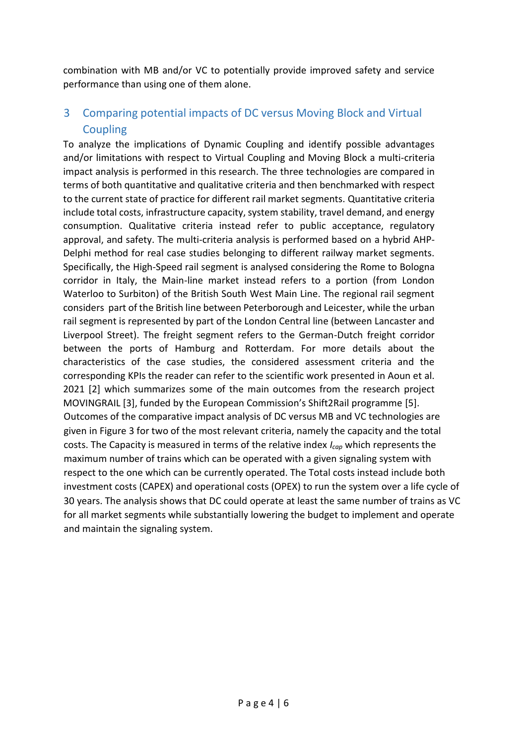combination with MB and/or VC to potentially provide improved safety and service performance than using one of them alone.

## 3 Comparing potential impacts of DC versus Moving Block and Virtual Coupling

To analyze the implications of Dynamic Coupling and identify possible advantages and/or limitations with respect to Virtual Coupling and Moving Block a multi-criteria impact analysis is performed in this research. The three technologies are compared in terms of both quantitative and qualitative criteria and then benchmarked with respect to the current state of practice for different rail market segments. Quantitative criteria include total costs, infrastructure capacity, system stability, travel demand, and energy consumption. Qualitative criteria instead refer to public acceptance, regulatory approval, and safety. The multi-criteria analysis is performed based on a hybrid AHP-Delphi method for real case studies belonging to different railway market segments. Specifically, the High-Speed rail segment is analysed considering the Rome to Bologna corridor in Italy, the Main-line market instead refers to a portion (from London Waterloo to Surbiton) of the British South West Main Line. The regional rail segment considers part of the British line between Peterborough and Leicester, while the urban rail segment is represented by part of the London Central line (between Lancaster and Liverpool Street). The freight segment refers to the German-Dutch freight corridor between the ports of Hamburg and Rotterdam. For more details about the characteristics of the case studies, the considered assessment criteria and the corresponding KPIs the reader can refer to the scientific work presented in Aoun et al. 2021 [\[2\]](#page-5-2) which summarizes some of the main outcomes from the research project MOVINGRAIL [\[3\]](#page-5-3), funded by the European Commission's Shift2Rail programme[\[5\].](#page-5-4) Outcomes of the comparative impact analysis of DC versus MB and VC technologies are given in [Figure 3](#page-4-0) for two of the most relevant criteria, namely the capacity and the total costs. The Capacity is measured in terms of the relative index *Icap* which represents the maximum number of trains which can be operated with a given signaling system with respect to the one which can be currently operated. The Total costs instead include both investment costs (CAPEX) and operational costs (OPEX) to run the system over a life cycle of 30 years. The analysis shows that DC could operate at least the same number of trains as VC for all market segments while substantially lowering the budget to implement and operate and maintain the signaling system.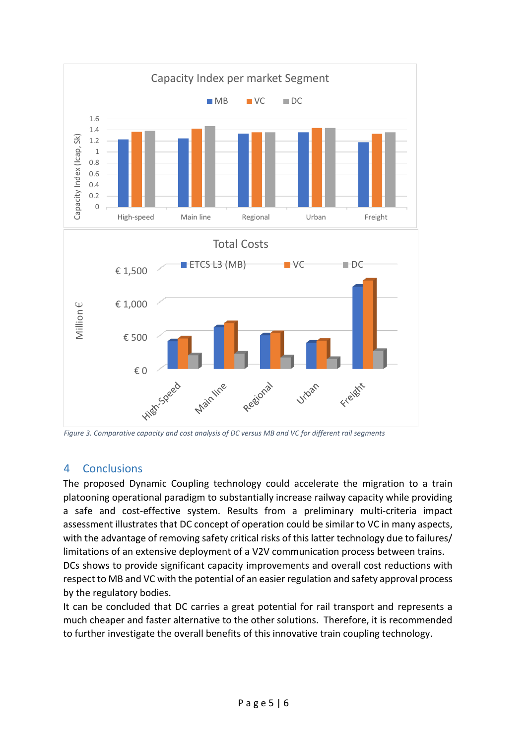

<span id="page-4-0"></span>*Figure 3. Comparative capacity and cost analysis of DC versus MB and VC for different rail segments*

#### 4 Conclusions

The proposed Dynamic Coupling technology could accelerate the migration to a train platooning operational paradigm to substantially increase railway capacity while providing a safe and cost-effective system. Results from a preliminary multi-criteria impact assessment illustrates that DC concept of operation could be similar to VC in many aspects, with the advantage of removing safety critical risks of this latter technology due to failures/ limitations of an extensive deployment of a V2V communication process between trains. DCs shows to provide significant capacity improvements and overall cost reductions with respect to MB and VC with the potential of an easier regulation and safety approval process by the regulatory bodies.

It can be concluded that DC carries a great potential for rail transport and represents a much cheaper and faster alternative to the other solutions. Therefore, it is recommended to further investigate the overall benefits of this innovative train coupling technology.